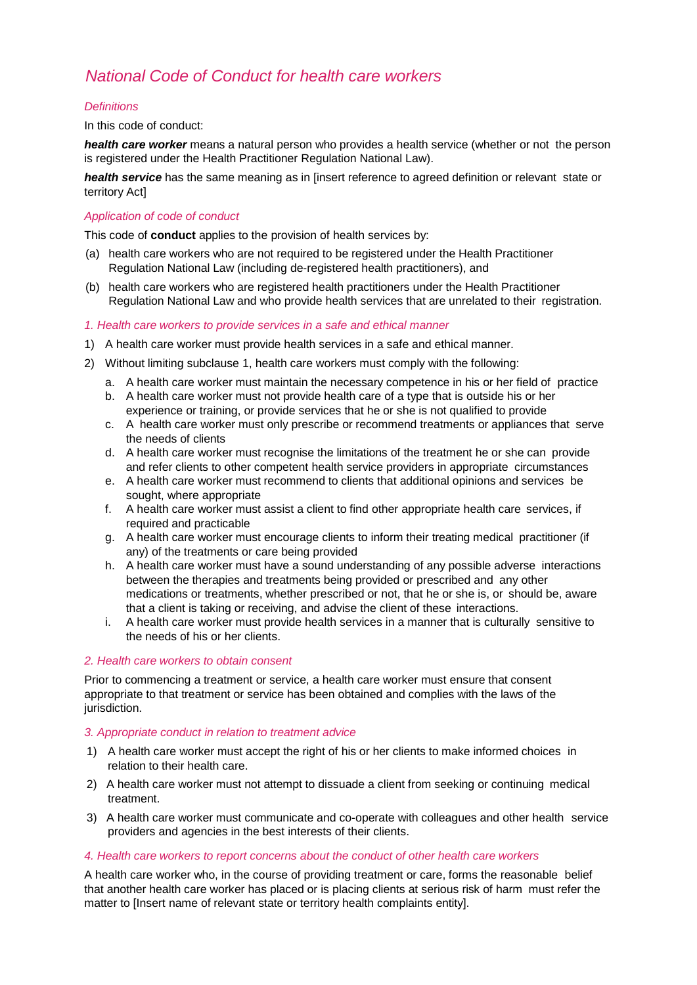# *National Code of Conduct for health care workers*

# *Definitions*

In this code of conduct:

*health care worker* means a natural person who provides a health service (whether or not the person is registered under the Health Practitioner Regulation National Law).

*health service* has the same meaning as in [insert reference to agreed definition or relevant state or territory Act]

# *Application of code of conduct*

This code of **conduct** applies to the provision of health services by:

- (a) health care workers who are not required to be registered under the Health Practitioner Regulation National Law (including de-registered health practitioners), and
- (b) health care workers who are registered health practitioners under the Health Practitioner Regulation National Law and who provide health services that are unrelated to their registration.
- *1. Health care workers to provide services in a safe and ethical manner*
- 1) A health care worker must provide health services in a safe and ethical manner.
- 2) Without limiting subclause 1, health care workers must comply with the following:
	- a. A health care worker must maintain the necessary competence in his or her field of practice
	- b. A health care worker must not provide health care of a type that is outside his or her experience or training, or provide services that he or she is not qualified to provide
	- c. A health care worker must only prescribe or recommend treatments or appliances that serve the needs of clients
	- d. A health care worker must recognise the limitations of the treatment he or she can provide and refer clients to other competent health service providers in appropriate circumstances
	- e. A health care worker must recommend to clients that additional opinions and services be sought, where appropriate
	- f. A health care worker must assist a client to find other appropriate health care services, if required and practicable
	- g. A health care worker must encourage clients to inform their treating medical practitioner (if any) of the treatments or care being provided
	- h. A health care worker must have a sound understanding of any possible adverse interactions between the therapies and treatments being provided or prescribed and any other medications or treatments, whether prescribed or not, that he or she is, or should be, aware that a client is taking or receiving, and advise the client of these interactions.
	- i. A health care worker must provide health services in a manner that is culturally sensitive to the needs of his or her clients.

# *2. Health care workers to obtain consent*

Prior to commencing a treatment or service, a health care worker must ensure that consent appropriate to that treatment or service has been obtained and complies with the laws of the jurisdiction.

# *3. Appropriate conduct in relation to treatment advice*

- 1) A health care worker must accept the right of his or her clients to make informed choices in relation to their health care.
- 2) A health care worker must not attempt to dissuade a client from seeking or continuing medical treatment.
- 3) A health care worker must communicate and co-operate with colleagues and other health service providers and agencies in the best interests of their clients.

## *4. Health care workers to report concerns about the conduct of other health care workers*

A health care worker who, in the course of providing treatment or care, forms the reasonable belief that another health care worker has placed or is placing clients at serious risk of harm must refer the matter to [Insert name of relevant state or territory health complaints entity].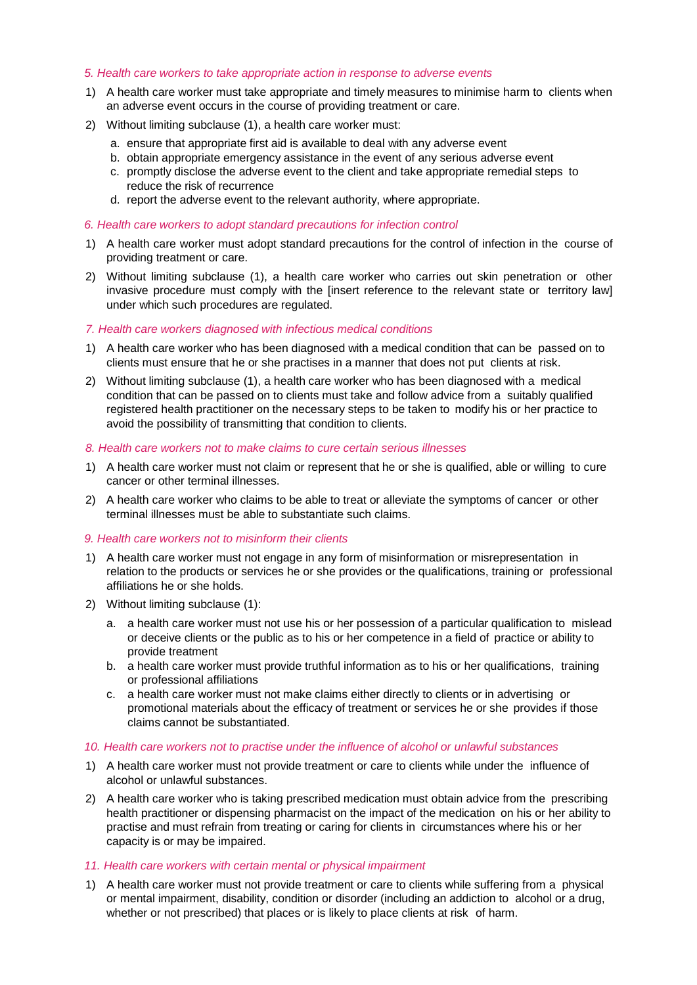## *5. Health care workers to take appropriate action in response to adverse events*

- 1) A health care worker must take appropriate and timely measures to minimise harm to clients when an adverse event occurs in the course of providing treatment or care.
- 2) Without limiting subclause (1), a health care worker must:
	- a. ensure that appropriate first aid is available to deal with any adverse event
	- b. obtain appropriate emergency assistance in the event of any serious adverse event
	- c. promptly disclose the adverse event to the client and take appropriate remedial steps to reduce the risk of recurrence
	- d. report the adverse event to the relevant authority, where appropriate.
- *6. Health care workers to adopt standard precautions for infection control*
- 1) A health care worker must adopt standard precautions for the control of infection in the course of providing treatment or care.
- 2) Without limiting subclause (1), a health care worker who carries out skin penetration or other invasive procedure must comply with the [insert reference to the relevant state or territory law] under which such procedures are regulated.
- *7. Health care workers diagnosed with infectious medical conditions*
- 1) A health care worker who has been diagnosed with a medical condition that can be passed on to clients must ensure that he or she practises in a manner that does not put clients at risk.
- 2) Without limiting subclause (1), a health care worker who has been diagnosed with a medical condition that can be passed on to clients must take and follow advice from a suitably qualified registered health practitioner on the necessary steps to be taken to modify his or her practice to avoid the possibility of transmitting that condition to clients.
- *8. Health care workers not to make claims to cure certain serious illnesses*
- 1) A health care worker must not claim or represent that he or she is qualified, able or willing to cure cancer or other terminal illnesses.
- 2) A health care worker who claims to be able to treat or alleviate the symptoms of cancer or other terminal illnesses must be able to substantiate such claims.

#### *9. Health care workers not to misinform their clients*

- 1) A health care worker must not engage in any form of misinformation or misrepresentation in relation to the products or services he or she provides or the qualifications, training or professional affiliations he or she holds.
- 2) Without limiting subclause (1):
	- a. a health care worker must not use his or her possession of a particular qualification to mislead or deceive clients or the public as to his or her competence in a field of practice or ability to provide treatment
	- b. a health care worker must provide truthful information as to his or her qualifications, training or professional affiliations
	- c. a health care worker must not make claims either directly to clients or in advertising or promotional materials about the efficacy of treatment or services he or she provides if those claims cannot be substantiated.

#### *10. Health care workers not to practise under the influence of alcohol or unlawful substances*

- 1) A health care worker must not provide treatment or care to clients while under the influence of alcohol or unlawful substances.
- 2) A health care worker who is taking prescribed medication must obtain advice from the prescribing health practitioner or dispensing pharmacist on the impact of the medication on his or her ability to practise and must refrain from treating or caring for clients in circumstances where his or her capacity is or may be impaired.

#### *11. Health care workers with certain mental or physical impairment*

1) A health care worker must not provide treatment or care to clients while suffering from a physical or mental impairment, disability, condition or disorder (including an addiction to alcohol or a drug, whether or not prescribed) that places or is likely to place clients at risk of harm.